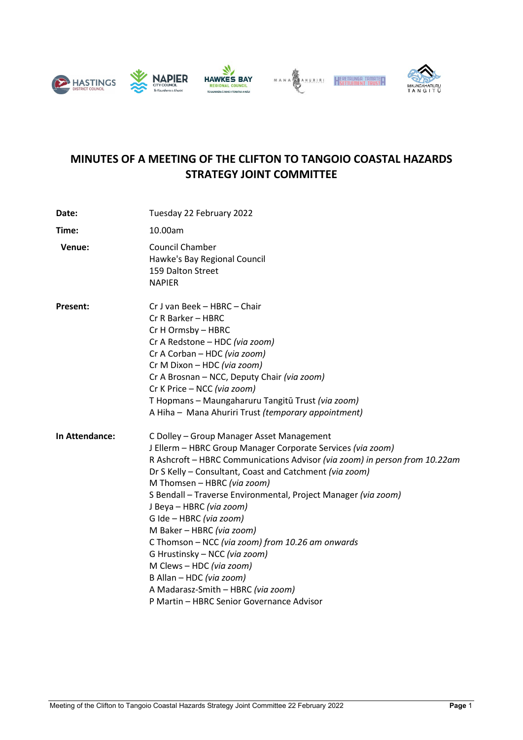





# **MINUTES OF A MEETING OF THE CLIFTON TO TANGOIO COASTAL HAZARDS STRATEGY JOINT COMMITTEE**

| Date:           | Tuesday 22 February 2022                                                                                                                                                                                                                                                                                                                                                                                                                                                                                                                                                                                                                                               |
|-----------------|------------------------------------------------------------------------------------------------------------------------------------------------------------------------------------------------------------------------------------------------------------------------------------------------------------------------------------------------------------------------------------------------------------------------------------------------------------------------------------------------------------------------------------------------------------------------------------------------------------------------------------------------------------------------|
| Time:           | 10.00am                                                                                                                                                                                                                                                                                                                                                                                                                                                                                                                                                                                                                                                                |
| Venue:          | Council Chamber<br>Hawke's Bay Regional Council<br>159 Dalton Street<br><b>NAPIER</b>                                                                                                                                                                                                                                                                                                                                                                                                                                                                                                                                                                                  |
| <b>Present:</b> | Cr J van Beek - HBRC - Chair<br>Cr R Barker - HBRC<br>Cr H Ormsby - HBRC<br>Cr A Redstone - HDC (via zoom)<br>Cr A Corban - HDC (via zoom)<br>Cr M Dixon - HDC (via zoom)<br>Cr A Brosnan - NCC, Deputy Chair (via zoom)<br>Cr K Price - NCC (via zoom)<br>T Hopmans - Maungaharuru Tangitū Trust (via zoom)<br>A Hiha - Mana Ahuriri Trust (temporary appointment)                                                                                                                                                                                                                                                                                                    |
| In Attendance:  | C Dolley - Group Manager Asset Management<br>J Ellerm - HBRC Group Manager Corporate Services (via zoom)<br>R Ashcroft - HBRC Communications Advisor (via zoom) in person from 10.22am<br>Dr S Kelly - Consultant, Coast and Catchment (via zoom)<br>M Thomsen - HBRC (via zoom)<br>S Bendall - Traverse Environmental, Project Manager (via zoom)<br>J Beya - HBRC (via zoom)<br>G Ide - HBRC (via zoom)<br>M Baker - HBRC (via zoom)<br>C Thomson - NCC (via zoom) from 10.26 am onwards<br>G Hrustinsky - NCC (via zoom)<br>M Clews - HDC (via zoom)<br>B Allan - HDC (via zoom)<br>A Madarasz-Smith - HBRC (via zoom)<br>P Martin - HBRC Senior Governance Advisor |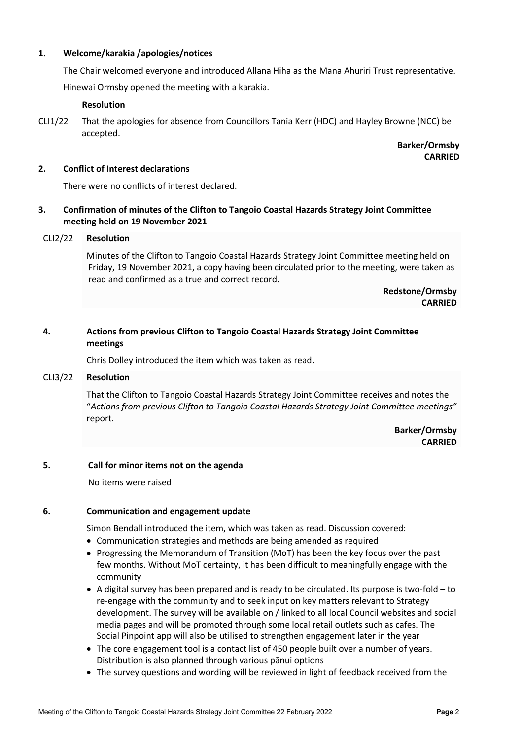### **1. Welcome/karakia /apologies/notices**

The Chair welcomed everyone and introduced Allana Hiha as the Mana Ahuriri Trust representative.

Hinewai Ormsby opened the meeting with a karakia.

#### **Resolution**

**Barker/Ormsby CARRIED**

## **2. Conflict of Interest declarations**

There were no conflicts of interest declared.

# **3. Confirmation of minutes of the Clifton to Tangoio Coastal Hazards Strategy Joint Committee meeting held on 19 November 2021**

## CLI2/22 **Resolution**

Minutes of the Clifton to Tangoio Coastal Hazards Strategy Joint Committee meeting held on Friday, 19 November 2021, a copy having been circulated prior to the meeting, were taken as read and confirmed as a true and correct record.

> **Redstone/Ormsby CARRIED**

# **4. Actions from previous Clifton to Tangoio Coastal Hazards Strategy Joint Committee meetings**

Chris Dolley introduced the item which was taken as read.

#### CLI3/22 **Resolution**

That the Clifton to Tangoio Coastal Hazards Strategy Joint Committee receives and notes the "*Actions from previous Clifton to Tangoio Coastal Hazards Strategy Joint Committee meetings"*  report.

> **Barker/Ormsby CARRIED**

#### **5. Call for minor items not on the agenda**

No items were raised

# **6. Communication and engagement update**

Simon Bendall introduced the item, which was taken as read. Discussion covered:

- Communication strategies and methods are being amended as required
- Progressing the Memorandum of Transition (MoT) has been the key focus over the past few months. Without MoT certainty, it has been difficult to meaningfully engage with the community
- A digital survey has been prepared and is ready to be circulated. Its purpose is two-fold to re-engage with the community and to seek input on key matters relevant to Strategy development. The survey will be available on / linked to all local Council websites and social media pages and will be promoted through some local retail outlets such as cafes. The Social Pinpoint app will also be utilised to strengthen engagement later in the year
- The core engagement tool is a contact list of 450 people built over a number of years. Distribution is also planned through various pānui options
- The survey questions and wording will be reviewed in light of feedback received from the

CLI1/22 That the apologies for absence from Councillors Tania Kerr (HDC) and Hayley Browne (NCC) be accepted.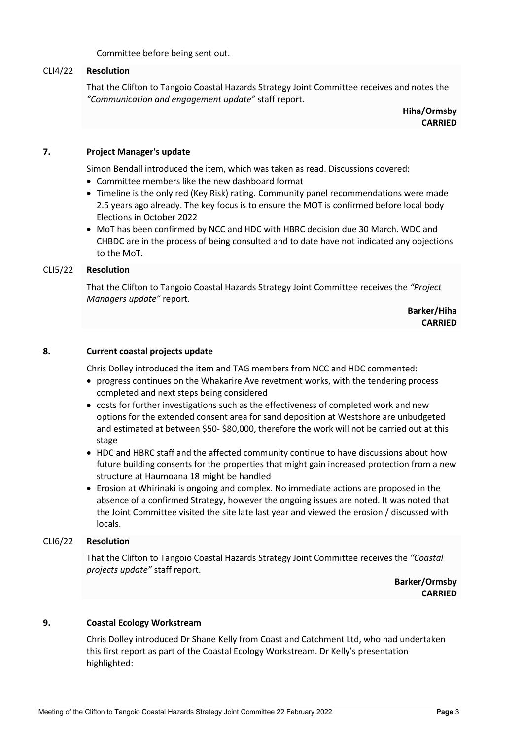Committee before being sent out.

#### CLI4/22 **Resolution**

That the Clifton to Tangoio Coastal Hazards Strategy Joint Committee receives and notes the *"Communication and engagement update"* staff report.

> **Hiha/Ormsby CARRIED**

#### **7. Project Manager's update**

Simon Bendall introduced the item, which was taken as read. Discussions covered:

- Committee members like the new dashboard format
- Timeline is the only red (Key Risk) rating. Community panel recommendations were made 2.5 years ago already. The key focus is to ensure the MOT is confirmed before local body Elections in October 2022
- MoT has been confirmed by NCC and HDC with HBRC decision due 30 March. WDC and CHBDC are in the process of being consulted and to date have not indicated any objections to the MoT.

#### CLI5/22 **Resolution**

That the Clifton to Tangoio Coastal Hazards Strategy Joint Committee receives the *"Project Managers update"* report.

> **Barker/Hiha CARRIED**

#### **8. Current coastal projects update**

Chris Dolley introduced the item and TAG members from NCC and HDC commented:

- progress continues on the Whakarire Ave revetment works, with the tendering process completed and next steps being considered
- costs for further investigations such as the effectiveness of completed work and new options for the extended consent area for sand deposition at Westshore are unbudgeted and estimated at between \$50- \$80,000, therefore the work will not be carried out at this stage
- HDC and HBRC staff and the affected community continue to have discussions about how future building consents for the properties that might gain increased protection from a new structure at Haumoana 18 might be handled
- Erosion at Whirinaki is ongoing and complex. No immediate actions are proposed in the absence of a confirmed Strategy, however the ongoing issues are noted. It was noted that the Joint Committee visited the site late last year and viewed the erosion / discussed with locals.

#### CLI6/22 **Resolution**

That the Clifton to Tangoio Coastal Hazards Strategy Joint Committee receives the *"Coastal projects update"* staff report.

> **Barker/Ormsby CARRIED**

#### **9. Coastal Ecology Workstream**

Chris Dolley introduced Dr Shane Kelly from Coast and Catchment Ltd, who had undertaken this first report as part of the Coastal Ecology Workstream. Dr Kelly's presentation highlighted: